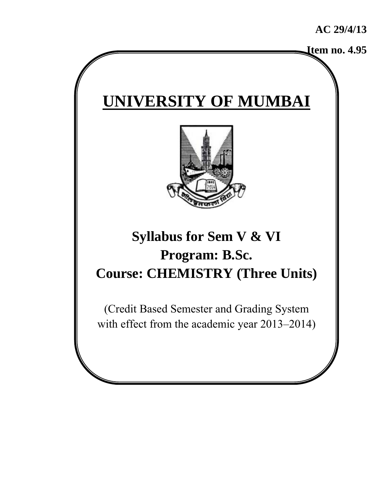**Item no. 4.95**

# **UNIVERSITY OF MUMBAI**



## **Syllabus for Sem V & VI Program: B.Sc. Course: CHEMISTRY (Three Units)**

(Credit Based Semester and Grading System with effect from the academic year 2013–2014)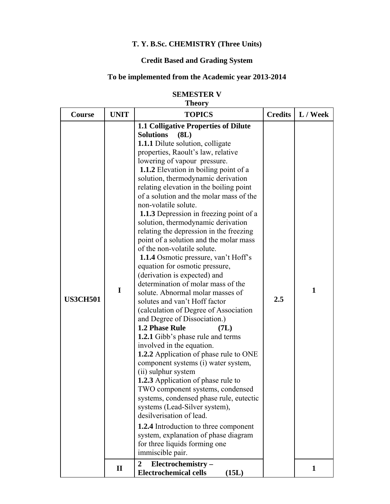### **T. Y. B.Sc. CHEMISTRY (Three Units)**

#### **Credit Based and Grading System**

#### **To be implemented from the Academic year 2013-2014**

#### **SEMESTER V Theory**

| <b>Course</b>   | <b>UNIT</b>  | т пеот у<br><b>TOPICS</b>                                                                                                                                                                                                                                                                                                                                                                                                                                                                                                                                                                                                                                                                                                                                                                                                                                                                                                                                                                                                                                                                                                                                                                                                                                                                                                                                                                                                                               | <b>Credits</b> | L / Week     |
|-----------------|--------------|---------------------------------------------------------------------------------------------------------------------------------------------------------------------------------------------------------------------------------------------------------------------------------------------------------------------------------------------------------------------------------------------------------------------------------------------------------------------------------------------------------------------------------------------------------------------------------------------------------------------------------------------------------------------------------------------------------------------------------------------------------------------------------------------------------------------------------------------------------------------------------------------------------------------------------------------------------------------------------------------------------------------------------------------------------------------------------------------------------------------------------------------------------------------------------------------------------------------------------------------------------------------------------------------------------------------------------------------------------------------------------------------------------------------------------------------------------|----------------|--------------|
|                 |              |                                                                                                                                                                                                                                                                                                                                                                                                                                                                                                                                                                                                                                                                                                                                                                                                                                                                                                                                                                                                                                                                                                                                                                                                                                                                                                                                                                                                                                                         |                |              |
| <b>US3CH501</b> | I            | <b>1.1 Colligative Properties of Dilute</b><br><b>Solutions</b><br>(8L)<br><b>1.1.1</b> Dilute solution, colligate<br>properties, Raoult's law, relative<br>lowering of vapour pressure.<br>1.1.2 Elevation in boiling point of a<br>solution, thermodynamic derivation<br>relating elevation in the boiling point<br>of a solution and the molar mass of the<br>non-volatile solute.<br><b>1.1.3</b> Depression in freezing point of a<br>solution, thermodynamic derivation<br>relating the depression in the freezing<br>point of a solution and the molar mass<br>of the non-volatile solute.<br>1.1.4 Osmotic pressure, van't Hoff's<br>equation for osmotic pressure,<br>(derivation is expected) and<br>determination of molar mass of the<br>solute. Abnormal molar masses of<br>solutes and van't Hoff factor<br>(calculation of Degree of Association<br>and Degree of Dissociation.)<br>1.2 Phase Rule<br>(7L)<br><b>1.2.1</b> Gibb's phase rule and terms<br>involved in the equation.<br><b>1.2.2</b> Application of phase rule to ONE<br>component systems (i) water system,<br>(ii) sulphur system<br><b>1.2.3</b> Application of phase rule to<br>TWO component systems, condensed<br>systems, condensed phase rule, eutectic<br>systems (Lead-Silver system),<br>desilverisation of lead.<br><b>1.2.4</b> Introduction to three component<br>system, explanation of phase diagram<br>for three liquids forming one<br>immiscible pair. | 2.5            | $\mathbf{1}$ |
|                 | $\mathbf{I}$ | $\overline{2}$<br>Electrochemistry-<br><b>Electrochemical cells</b><br>(15L)                                                                                                                                                                                                                                                                                                                                                                                                                                                                                                                                                                                                                                                                                                                                                                                                                                                                                                                                                                                                                                                                                                                                                                                                                                                                                                                                                                            |                | 1            |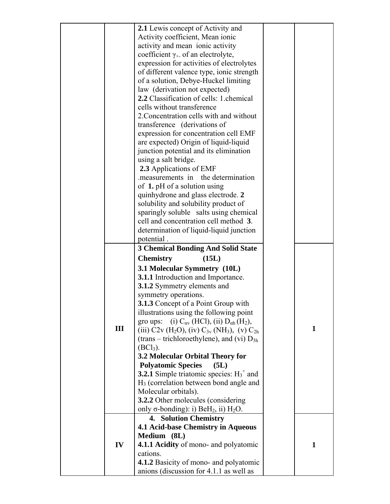|     | <b>2.1</b> Lewis concept of Activity and                                          |              |
|-----|-----------------------------------------------------------------------------------|--------------|
|     | Activity coefficient, Mean ionic                                                  |              |
|     | activity and mean ionic activity                                                  |              |
|     | coefficient $\gamma_+$ of an electrolyte,                                         |              |
|     | expression for activities of electrolytes                                         |              |
|     | of different valence type, ionic strength                                         |              |
|     | of a solution, Debye-Huckel limiting                                              |              |
|     | law (derivation not expected)                                                     |              |
|     | 2.2 Classification of cells: 1 chemical                                           |              |
|     | cells without transference                                                        |              |
|     | 2. Concentration cells with and without                                           |              |
|     | transference (derivations of                                                      |              |
|     | expression for concentration cell EMF                                             |              |
|     | are expected) Origin of liquid-liquid                                             |              |
|     | junction potential and its elimination                                            |              |
|     | using a salt bridge.                                                              |              |
|     | 2.3 Applications of EMF                                                           |              |
|     | measurements in the determination                                                 |              |
|     | of 1. pH of a solution using                                                      |              |
|     | quinhydrone and glass electrode. 2                                                |              |
|     | solubility and solubility product of                                              |              |
|     | sparingly soluble salts using chemical                                            |              |
|     | cell and concentration cell method 3.                                             |              |
|     | determination of liquid-liquid junction                                           |              |
|     | potential.                                                                        |              |
|     | <b>3 Chemical Bonding And Solid State</b>                                         |              |
|     |                                                                                   |              |
|     |                                                                                   |              |
|     | <b>Chemistry</b><br>(15L)                                                         |              |
|     | 3.1 Molecular Symmetry (10L)                                                      |              |
|     | <b>3.1.1</b> Introduction and Importance.                                         |              |
|     | 3.1.2 Symmetry elements and                                                       |              |
|     | symmetry operations.                                                              |              |
|     | <b>3.1.3</b> Concept of a Point Group with                                        |              |
|     | illustrations using the following point                                           |              |
|     | gro ups: (i) $C_{\alpha v}$ (HCl), (ii) $D_{\alpha h}$ (H <sub>2</sub> ),         |              |
| III | (iii) $C2v$ (H <sub>2</sub> O), (iv) $C_{3v}$ (NH <sub>3</sub> ), (v) $C_{2h}$    | $\mathbf{1}$ |
|     | (trans – trichloroethylene), and (vi) $D_{3h}$                                    |              |
|     | $(BCl3)$ .                                                                        |              |
|     | 3.2 Molecular Orbital Theory for                                                  |              |
|     | <b>Polyatomic Species</b><br>(5L)                                                 |              |
|     | <b>3.2.1</b> Simple triatomic species: $H_3^+$ and                                |              |
|     | $H3$ (correlation between bond angle and                                          |              |
|     | Molecular orbitals).                                                              |              |
|     | 3.2.2 Other molecules (considering                                                |              |
|     | only $\sigma$ -bonding): i) BeH <sub>2</sub> , ii) H <sub>2</sub> O.              |              |
|     | <b>4. Solution Chemistry</b>                                                      |              |
|     | 4.1 Acid-base Chemistry in Aqueous                                                |              |
|     | Medium (8L)                                                                       |              |
| IV  | 4.1.1 Acidity of mono- and polyatomic                                             | $\mathbf{1}$ |
|     | cations.                                                                          |              |
|     | 4.1.2 Basicity of mono- and polyatomic<br>anions (discussion for 4.1.1 as well as |              |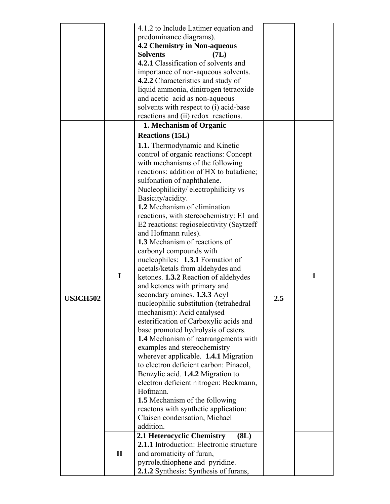|                 |              | 4.1.2 to Include Latimer equation and                            |     |   |
|-----------------|--------------|------------------------------------------------------------------|-----|---|
|                 |              | predominance diagrams).                                          |     |   |
|                 |              | 4.2 Chemistry in Non-aqueous                                     |     |   |
|                 |              | <b>Solvents</b><br>(7L)                                          |     |   |
|                 |              | 4.2.1 Classification of solvents and                             |     |   |
|                 |              | importance of non-aqueous solvents.                              |     |   |
|                 |              | 4.2.2 Characteristics and study of                               |     |   |
|                 |              | liquid ammonia, dinitrogen tetraoxide                            |     |   |
|                 |              | and acetic acid as non-aqueous                                   |     |   |
|                 |              | solvents with respect to (i) acid-base                           |     |   |
|                 |              | reactions and (ii) redox reactions.                              |     |   |
|                 |              | 1. Mechanism of Organic                                          |     |   |
|                 |              | <b>Reactions (15L)</b>                                           |     |   |
|                 |              | <b>1.1.</b> Thermodynamic and Kinetic                            |     |   |
|                 |              | control of organic reactions: Concept                            |     |   |
|                 |              | with mechanisms of the following                                 |     |   |
|                 |              | reactions: addition of HX to butadiene;                          |     |   |
|                 |              | sulfonation of naphthalene.                                      |     |   |
|                 |              | Nucleophilicity/electrophilicity vs                              |     |   |
|                 |              | Basicity/acidity.                                                |     |   |
|                 |              | 1.2 Mechanism of elimination                                     |     |   |
|                 |              | reactions, with stereochemistry: E1 and                          |     |   |
|                 |              | E2 reactions: regioselectivity (Saytzeff)<br>and Hofmann rules). |     |   |
|                 |              | 1.3 Mechanism of reactions of                                    |     |   |
|                 |              | carbonyl compounds with                                          |     |   |
|                 |              | nucleophiles: 1.3.1 Formation of                                 |     |   |
|                 |              | acetals/ketals from aldehydes and                                |     |   |
|                 | I            | ketones. 1.3.2 Reaction of aldehydes                             |     | 1 |
|                 |              | and ketones with primary and                                     |     |   |
| <b>US3CH502</b> |              | secondary amines. 1.3.3 Acyl                                     | 2.5 |   |
|                 |              | nucleophilic substitution (tetrahedral                           |     |   |
|                 |              | mechanism): Acid catalysed                                       |     |   |
|                 |              | esterification of Carboxylic acids and                           |     |   |
|                 |              | base promoted hydrolysis of esters.                              |     |   |
|                 |              | 1.4 Mechanism of rearrangements with                             |     |   |
|                 |              | examples and stereochemistry                                     |     |   |
|                 |              | wherever applicable. 1.4.1 Migration                             |     |   |
|                 |              | to electron deficient carbon: Pinacol,                           |     |   |
|                 |              | Benzylic acid. 1.4.2 Migration to                                |     |   |
|                 |              | electron deficient nitrogen: Beckmann,<br>Hofmann.               |     |   |
|                 |              | 1.5 Mechanism of the following                                   |     |   |
|                 |              | reactons with synthetic application:                             |     |   |
|                 |              | Claisen condensation, Michael                                    |     |   |
|                 |              | addition.                                                        |     |   |
|                 |              | 2.1 Heterocyclic Chemistry<br>(8L)                               |     |   |
|                 |              | 2.1.1 Introduction: Electronic structure                         |     |   |
|                 | $\mathbf{I}$ | and aromaticity of furan,                                        |     |   |
|                 |              | pyrrole, thiophene and pyridine.                                 |     |   |
|                 |              | 2.1.2 Synthesis: Synthesis of furans,                            |     |   |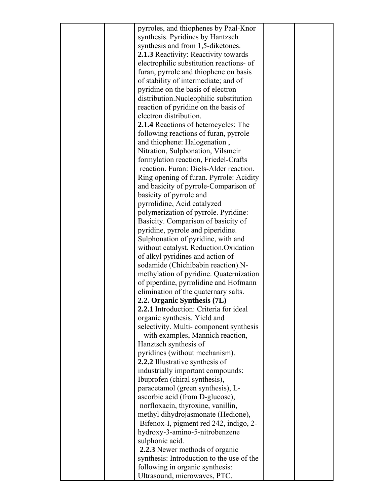| pyrroles, and thiophenes by Paal-Knor     |  |
|-------------------------------------------|--|
| synthesis. Pyridines by Hantzsch          |  |
| synthesis and from 1,5-diketones.         |  |
| 2.1.3 Reactivity: Reactivity towards      |  |
| electrophilic substitution reactions- of  |  |
| furan, pyrrole and thiophene on basis     |  |
| of stability of intermediate; and of      |  |
| pyridine on the basis of electron         |  |
| distribution.Nucleophilic substitution    |  |
| reaction of pyridine on the basis of      |  |
| electron distribution.                    |  |
| 2.1.4 Reactions of heterocycles: The      |  |
| following reactions of furan, pyrrole     |  |
| and thiophene: Halogenation,              |  |
| Nitration, Sulphonation, Vilsmeir         |  |
| formylation reaction, Friedel-Crafts      |  |
| reaction. Furan: Diels-Alder reaction.    |  |
| Ring opening of furan. Pyrrole: Acidity   |  |
| and basicity of pyrrole-Comparison of     |  |
| basicity of pyrrole and                   |  |
| pyrrolidine, Acid catalyzed               |  |
| polymerization of pyrrole. Pyridine:      |  |
| Basicity. Comparison of basicity of       |  |
| pyridine, pyrrole and piperidine.         |  |
| Sulphonation of pyridine, with and        |  |
| without catalyst. Reduction.Oxidation     |  |
| of alkyl pyridines and action of          |  |
| sodamide (Chichibabin reaction).N-        |  |
| methylation of pyridine. Quaternization   |  |
| of piperdine, pyrrolidine and Hofmann     |  |
| elimination of the quaternary salts.      |  |
| 2.2. Organic Synthesis (7L)               |  |
| 2.2.1 Introduction: Criteria for ideal    |  |
| organic synthesis. Yield and              |  |
| selectivity. Multi-component synthesis    |  |
| - with examples, Mannich reaction,        |  |
| Hanztsch synthesis of                     |  |
| pyridines (without mechanism).            |  |
| 2.2.2 Illustrative synthesis of           |  |
| industrially important compounds:         |  |
| Ibuprofen (chiral synthesis),             |  |
| paracetamol (green synthesis), L-         |  |
| ascorbic acid (from D-glucose),           |  |
| norfloxacin, thyroxine, vanillin,         |  |
| methyl dihydrojasmonate (Hedione),        |  |
| Bifenox-I, pigment red 242, indigo, 2-    |  |
| hydroxy-3-amino-5-nitrobenzene            |  |
| sulphonic acid.                           |  |
| 2.2.3 Newer methods of organic            |  |
| synthesis: Introduction to the use of the |  |
| following in organic synthesis:           |  |
| Ultrasound, microwaves, PTC.              |  |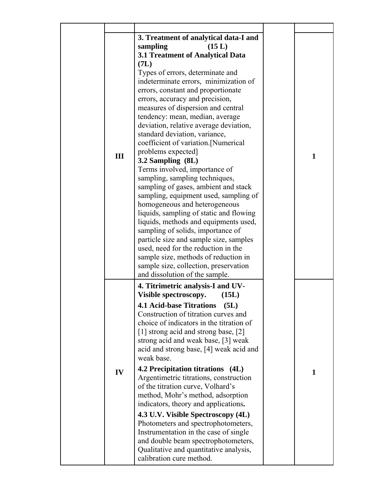| III | 3. Treatment of analytical data-I and<br>(15 L)<br>sampling<br>3.1 Treatment of Analytical Data<br>(7L)<br>Types of errors, determinate and<br>indeterminate errors, minimization of<br>errors, constant and proportionate<br>errors, accuracy and precision,<br>measures of dispersion and central<br>tendency: mean, median, average<br>deviation, relative average deviation,<br>standard deviation, variance,<br>coefficient of variation.[Numerical<br>problems expected]<br>3.2 Sampling (8L)<br>Terms involved, importance of<br>sampling, sampling techniques,<br>sampling of gases, ambient and stack<br>sampling, equipment used, sampling of<br>homogeneous and heterogeneous<br>liquids, sampling of static and flowing<br>liquids, methods and equipments used,<br>sampling of solids, importance of<br>particle size and sample size, samples<br>used, need for the reduction in the<br>sample size, methods of reduction in<br>sample size, collection, preservation | $\mathbf{1}$ |
|-----|-------------------------------------------------------------------------------------------------------------------------------------------------------------------------------------------------------------------------------------------------------------------------------------------------------------------------------------------------------------------------------------------------------------------------------------------------------------------------------------------------------------------------------------------------------------------------------------------------------------------------------------------------------------------------------------------------------------------------------------------------------------------------------------------------------------------------------------------------------------------------------------------------------------------------------------------------------------------------------------|--------------|
| IV  | and dissolution of the sample.<br>4. Titrimetric analysis-I and UV-<br>Visible spectroscopy.<br>(15L)<br><b>4.1 Acid-base Titrations</b><br>(5L)<br>Construction of titration curves and<br>choice of indicators in the titration of<br>[1] strong acid and strong base, [2]<br>strong acid and weak base, [3] weak<br>acid and strong base, [4] weak acid and<br>weak base.<br>4.2 Precipitation titrations (4L)<br>Argentimetric titrations, construction<br>of the titration curve, Volhard's<br>method, Mohr's method, adsorption<br>indicators, theory and applications.<br>4.3 U.V. Visible Spectroscopy (4L)<br>Photometers and spectrophotometers,<br>Instrumentation in the case of single<br>and double beam spectrophotometers,<br>Qualitative and quantitative analysis,<br>calibration cure method.                                                                                                                                                                    | 1            |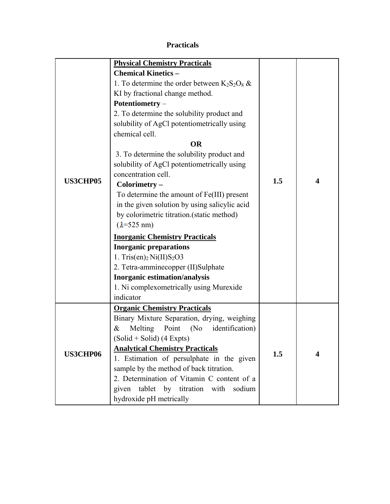#### **Practicals**

|                 | <b>Physical Chemistry Practicals</b>             |     |   |
|-----------------|--------------------------------------------------|-----|---|
|                 | <b>Chemical Kinetics -</b>                       |     |   |
|                 | 1. To determine the order between $K_2S_2O_8$ &  |     |   |
|                 | KI by fractional change method.                  |     |   |
|                 | Potentiometry -                                  |     |   |
|                 | 2. To determine the solubility product and       |     |   |
|                 | solubility of AgCl potentiometrically using      |     |   |
|                 | chemical cell.                                   |     |   |
|                 | <b>OR</b>                                        |     |   |
| <b>US3CHP05</b> | 3. To determine the solubility product and       |     |   |
|                 | solubility of AgCl potentiometrically using      |     |   |
|                 | concentration cell.                              |     |   |
|                 | Colorimetry -                                    | 1.5 | 4 |
|                 | To determine the amount of Fe(III) present       |     |   |
|                 | in the given solution by using salicylic acid    |     |   |
|                 | by colorimetric titration.(static method)        |     |   |
|                 | $(\lambda = 525 \text{ nm})$                     |     |   |
|                 | <b>Inorganic Chemistry Practicals</b>            |     |   |
|                 | <b>Inorganic preparations</b>                    |     |   |
|                 |                                                  |     |   |
|                 | 1. Tris $(en)_2$ Ni $(II)$ S <sub>2</sub> O3     |     |   |
|                 | 2. Tetra-amminecopper (II)Sulphate               |     |   |
|                 | <b>Inorganic estimation/analysis</b>             |     |   |
|                 | 1. Ni complexometrically using Murexide          |     |   |
|                 | indicator                                        |     |   |
|                 | <b>Organic Chemistry Practicals</b>              |     |   |
|                 | Binary Mixture Separation, drying, weighing      |     |   |
|                 | Melting<br>identification)<br>Point<br>(No)<br>& |     |   |
|                 | $(Solid + Solid) (4 Express)$                    |     |   |
|                 | <b>Analytical Chemistry Practicals</b>           |     |   |
| <b>US3CHP06</b> | 1. Estimation of persulphate in the given        | 1.5 | 4 |
|                 | sample by the method of back titration.          |     |   |
|                 | 2. Determination of Vitamin C content of a       |     |   |
|                 | tablet by titration with<br>given<br>sodium      |     |   |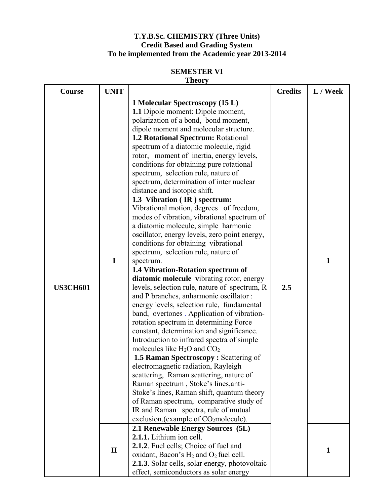#### **T.Y.B.Sc. CHEMISTRY (Three Units) Credit Based and Grading System To be implemented from the Academic year 2013-2014**

#### **SEMESTER VI Theory**

| Course          | <b>UNIT</b>       |                                                                                                                                                                                                                                                                                                                                                                                                                                                                                                                                                                                                                                                                                                                                                                                                                                                                                                                                                                                                                                                                                                                                                                                                                                                                                                                                                                                                                                                                                                                                                                                                                                                                                                                                               | <b>Credits</b> | L / Week                     |
|-----------------|-------------------|-----------------------------------------------------------------------------------------------------------------------------------------------------------------------------------------------------------------------------------------------------------------------------------------------------------------------------------------------------------------------------------------------------------------------------------------------------------------------------------------------------------------------------------------------------------------------------------------------------------------------------------------------------------------------------------------------------------------------------------------------------------------------------------------------------------------------------------------------------------------------------------------------------------------------------------------------------------------------------------------------------------------------------------------------------------------------------------------------------------------------------------------------------------------------------------------------------------------------------------------------------------------------------------------------------------------------------------------------------------------------------------------------------------------------------------------------------------------------------------------------------------------------------------------------------------------------------------------------------------------------------------------------------------------------------------------------------------------------------------------------|----------------|------------------------------|
| <b>US3CH601</b> | I<br>$\mathbf{I}$ | 1 Molecular Spectroscopy (15 L)<br><b>1.1</b> Dipole moment: Dipole moment,<br>polarization of a bond, bond moment,<br>dipole moment and molecular structure.<br>1.2 Rotational Spectrum: Rotational<br>spectrum of a diatomic molecule, rigid<br>rotor, moment of inertia, energy levels,<br>conditions for obtaining pure rotational<br>spectrum, selection rule, nature of<br>spectrum, determination of inter nuclear<br>distance and isotopic shift.<br>1.3 Vibration (IR) spectrum:<br>Vibrational motion, degrees of freedom,<br>modes of vibration, vibrational spectrum of<br>a diatomic molecule, simple harmonic<br>oscillator, energy levels, zero point energy,<br>conditions for obtaining vibrational<br>spectrum, selection rule, nature of<br>spectrum.<br>1.4 Vibration-Rotation spectrum of<br>diatomic molecule vibrating rotor, energy<br>levels, selection rule, nature of spectrum, R<br>and P branches, anharmonic oscillator:<br>energy levels, selection rule, fundamental<br>band, overtones . Application of vibration-<br>rotation spectrum in determining Force<br>constant, determination and significance.<br>Introduction to infrared spectra of simple<br>molecules like $H_2O$ and $CO_2$<br>1.5 Raman Spectroscopy: Scattering of<br>electromagnetic radiation, Rayleigh<br>scattering, Raman scattering, nature of<br>Raman spectrum, Stoke's lines, anti-<br>Stoke's lines, Raman shift, quantum theory<br>of Raman spectrum, comparative study of<br>IR and Raman spectra, rule of mutual<br>exclusion.(example of CO <sub>2</sub> molecule).<br>2.1 Renewable Energy Sources (5L)<br>2.1.1. Lithium ion cell.<br>2.1.2. Fuel cells; Choice of fuel and<br>oxidant, Bacon's $H_2$ and $O_2$ fuel cell. | 2.5            | $\mathbf{1}$<br>$\mathbf{1}$ |
|                 |                   | <b>2.1.3</b> . Solar cells, solar energy, photovoltaic<br>effect, semiconductors as solar energy                                                                                                                                                                                                                                                                                                                                                                                                                                                                                                                                                                                                                                                                                                                                                                                                                                                                                                                                                                                                                                                                                                                                                                                                                                                                                                                                                                                                                                                                                                                                                                                                                                              |                |                              |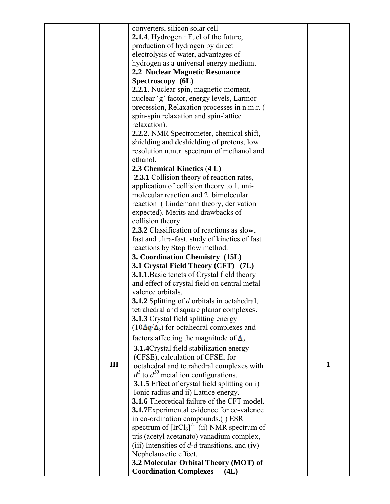|     | converters, silicon solar cell                                                 |              |
|-----|--------------------------------------------------------------------------------|--------------|
|     | <b>2.1.4</b> . Hydrogen : Fuel of the future,                                  |              |
|     | production of hydrogen by direct                                               |              |
|     | electrolysis of water, advantages of                                           |              |
|     | hydrogen as a universal energy medium.                                         |              |
|     | 2.2 Nuclear Magnetic Resonance                                                 |              |
|     | Spectroscopy (6L)                                                              |              |
|     | 2.2.1. Nuclear spin, magnetic moment,                                          |              |
|     | nuclear 'g' factor, energy levels, Larmor                                      |              |
|     | precession, Relaxation processes in n.m.r. (                                   |              |
|     | spin-spin relaxation and spin-lattice                                          |              |
|     | relaxation).                                                                   |              |
|     | 2.2.2. NMR Spectrometer, chemical shift,                                       |              |
|     | shielding and deshielding of protons, low                                      |              |
|     | resolution n.m.r. spectrum of methanol and                                     |              |
|     | ethanol.                                                                       |              |
|     | 2.3 Chemical Kinetics (4 L)                                                    |              |
|     | <b>2.3.1</b> Collision theory of reaction rates,                               |              |
|     | application of collision theory to 1. uni-                                     |              |
|     | molecular reaction and 2. bimolecular                                          |              |
|     | reaction (Lindemann theory, derivation                                         |              |
|     | expected). Merits and drawbacks of                                             |              |
|     | collision theory.                                                              |              |
|     | 2.3.2 Classification of reactions as slow,                                     |              |
|     | fast and ultra-fast. study of kinetics of fast                                 |              |
|     | reactions by Stop flow method.                                                 |              |
|     | 3. Coordination Chemistry (15L)                                                |              |
|     | 3.1 Crystal Field Theory (CFT) (7L)                                            |              |
|     | <b>3.1.1</b> Basic tenets of Crystal field theory                              |              |
|     | and effect of crystal field on central metal                                   |              |
|     |                                                                                |              |
|     |                                                                                |              |
|     | valence orbitals.                                                              |              |
|     | 3.1.2 Splitting of d orbitals in octahedral,                                   |              |
|     | tetrahedral and square planar complexes.                                       |              |
|     | <b>3.1.3</b> Crystal field splitting energy                                    |              |
|     | $(10\Delta q/\Delta_0)$ for octahedral complexes and                           |              |
|     | factors affecting the magnitude of $\Delta_0$ .                                |              |
|     | <b>3.1.4</b> Crystal field stabilization energy                                |              |
|     | (CFSE), calculation of CFSE, for                                               |              |
| III | octahedral and tetrahedral complexes with                                      | $\mathbf{1}$ |
|     | $d1$ to $d10$ metal ion configurations.                                        |              |
|     | <b>3.1.5</b> Effect of crystal field splitting on i)                           |              |
|     | Ionic radius and ii) Lattice energy.                                           |              |
|     | <b>3.1.6</b> Theoretical failure of the CFT model.                             |              |
|     | 3.1.7 Experimental evidence for co-valence                                     |              |
|     | in co-ordination compounds.(i) ESR                                             |              |
|     | spectrum of $[IrCl_6]^{2}$ (ii) NMR spectrum of                                |              |
|     | tris (acetyl acetanato) vanadium complex,                                      |              |
|     | (iii) Intensities of $d$ - $d$ transitions, and (iv)                           |              |
|     | Nephelauxetic effect.                                                          |              |
|     | 3.2 Molecular Orbital Theory (MOT) of<br><b>Coordination Complexes</b><br>(4L) |              |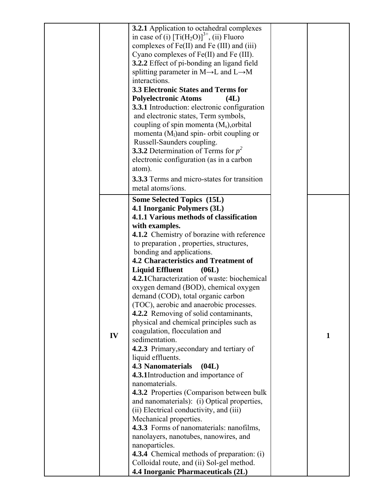|    | <b>3.2.1</b> Application to octahedral complexes               |              |
|----|----------------------------------------------------------------|--------------|
|    | in case of (i) $[Ti(H_2O)]^{3+}$ , (ii) Fluoro                 |              |
|    | complexes of Fe(II) and Fe (III) and (iii)                     |              |
|    | Cyano complexes of Fe(II) and Fe (III).                        |              |
|    | 3.2.2 Effect of pi-bonding an ligand field                     |              |
|    | splitting parameter in $M \rightarrow L$ and $L \rightarrow M$ |              |
|    | interactions.                                                  |              |
|    | 3.3 Electronic States and Terms for                            |              |
|    | <b>Polyelectronic Atoms</b><br>(4L)                            |              |
|    | <b>3.3.1</b> Introduction: electronic configuration            |              |
|    | and electronic states, Term symbols,                           |              |
|    | coupling of spin momenta $(M_s)$ , orbital                     |              |
|    | momenta $(Ml)$ and spin- orbit coupling or                     |              |
|    |                                                                |              |
|    | Russell-Saunders coupling.                                     |              |
|    | <b>3.3.2</b> Determination of Terms for $p^2$                  |              |
|    | electronic configuration (as in a carbon                       |              |
|    | atom).                                                         |              |
|    | <b>3.3.3</b> Terms and micro-states for transition             |              |
|    | metal atoms/ions.                                              |              |
|    | <b>Some Selected Topics (15L)</b>                              |              |
|    | 4.1 Inorganic Polymers (3L)                                    |              |
|    | 4.1.1 Various methods of classification                        |              |
|    | with examples.                                                 |              |
|    | 4.1.2 Chemistry of borazine with reference                     |              |
|    | to preparation, properties, structures,                        |              |
|    | bonding and applications.                                      |              |
|    | 4.2 Characteristics and Treatment of                           |              |
|    |                                                                |              |
|    | <b>Liquid Effluent</b><br>(06L)                                |              |
|    | 4.2.1 Characterization of waste: biochemical                   |              |
|    | oxygen demand (BOD), chemical oxygen                           |              |
|    | demand (COD), total organic carbon                             |              |
|    | (TOC), aerobic and anaerobic processes.                        |              |
|    | 4.2.2 Removing of solid contaminants,                          |              |
|    | physical and chemical principles such as                       |              |
| IV | coagulation, flocculation and                                  | $\mathbf{1}$ |
|    | sedimentation.                                                 |              |
|    | 4.2.3 Primary, secondary and tertiary of                       |              |
|    | liquid effluents.                                              |              |
|    | <b>4.3 Nanomaterials</b><br>(04L)                              |              |
|    | 4.3.1Introduction and importance of                            |              |
|    | nanomaterials.                                                 |              |
|    | <b>4.3.2</b> Properties (Comparison between bulk               |              |
|    | and nanomaterials): (i) Optical properties,                    |              |
|    | (ii) Electrical conductivity, and (iii)                        |              |
|    | Mechanical properties.                                         |              |
|    | 4.3.3 Forms of nanomaterials: nanofilms,                       |              |
|    | nanolayers, nanotubes, nanowires, and                          |              |
|    | nanoparticles.                                                 |              |
|    | <b>4.3.4</b> Chemical methods of preparation: (i)              |              |
|    | Colloidal route, and (ii) Sol-gel method.                      |              |
|    | 4.4 Inorganic Pharmaceuticals (2L)                             |              |
|    |                                                                |              |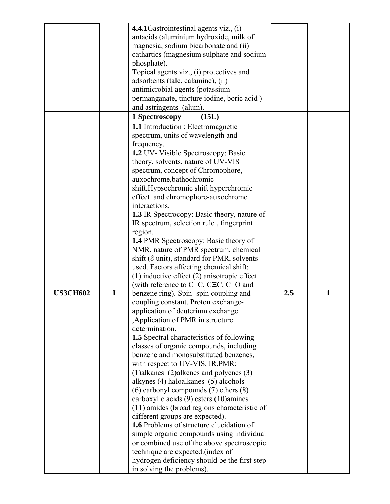|                 |             | 4.4.1 Gastrointestinal agents viz., (i)<br>antacids (aluminium hydroxide, milk of<br>magnesia, sodium bicarbonate and (ii)<br>cathartics (magnesium sulphate and sodium<br>phosphate).<br>Topical agents viz., (i) protectives and<br>adsorbents (talc, calamine), (ii)<br>antimicrobial agents (potassium<br>permanganate, tincture iodine, boric acid)<br>and astringents (alum).                                                                                                                                                                                                                                                                                                                                                                                                                                                                                                                                                                                                                                                                                                                                                                                                                                                                                                                                                                                                                                                                                                                                                                                                       |     |              |
|-----------------|-------------|-------------------------------------------------------------------------------------------------------------------------------------------------------------------------------------------------------------------------------------------------------------------------------------------------------------------------------------------------------------------------------------------------------------------------------------------------------------------------------------------------------------------------------------------------------------------------------------------------------------------------------------------------------------------------------------------------------------------------------------------------------------------------------------------------------------------------------------------------------------------------------------------------------------------------------------------------------------------------------------------------------------------------------------------------------------------------------------------------------------------------------------------------------------------------------------------------------------------------------------------------------------------------------------------------------------------------------------------------------------------------------------------------------------------------------------------------------------------------------------------------------------------------------------------------------------------------------------------|-----|--------------|
|                 |             | 1 Spectroscopy<br>(15L)<br><b>1.1</b> Introduction : Electromagnetic                                                                                                                                                                                                                                                                                                                                                                                                                                                                                                                                                                                                                                                                                                                                                                                                                                                                                                                                                                                                                                                                                                                                                                                                                                                                                                                                                                                                                                                                                                                      |     |              |
| <b>US3CH602</b> | $\mathbf I$ | spectrum, units of wavelength and<br>frequency.<br>1.2 UV- Visible Spectroscopy: Basic<br>theory, solvents, nature of UV-VIS<br>spectrum, concept of Chromophore,<br>auxochrome, bathochromic<br>shift, Hypsochromic shift hyperchromic<br>effect and chromophore-auxochrome<br>interactions.<br><b>1.3</b> IR Spectrocopy: Basic theory, nature of<br>IR spectrum, selection rule, fingerprint<br>region.<br><b>1.4 PMR Spectroscopy: Basic theory of</b><br>NMR, nature of PMR spectrum, chemical<br>shift ( $\partial$ unit), standard for PMR, solvents<br>used. Factors affecting chemical shift:<br>$(1)$ inductive effect $(2)$ anisotropic effect<br>(with reference to $C=C, C\equiv C, C=O$ and<br>benzene ring). Spin-spin coupling and<br>coupling constant. Proton exchange-<br>application of deuterium exchange<br>, Application of PMR in structure<br>determination.<br>1.5 Spectral characteristics of following<br>classes of organic compounds, including<br>benzene and monosubstituted benzenes,<br>with respect to UV-VIS, IR, PMR:<br>$(1)$ alkanes $(2)$ alkenes and polyenes $(3)$<br>alkynes (4) haloalkanes (5) alcohols<br>$(6)$ carbonyl compounds $(7)$ ethers $(8)$<br>carboxylic acids (9) esters (10) amines<br>(11) amides (broad regions characteristic of<br>different groups are expected).<br>1.6 Problems of structure elucidation of<br>simple organic compounds using individual<br>or combined use of the above spectroscopic<br>technique are expected.(index of<br>hydrogen deficiency should be the first step<br>in solving the problems). | 2.5 | $\mathbf{1}$ |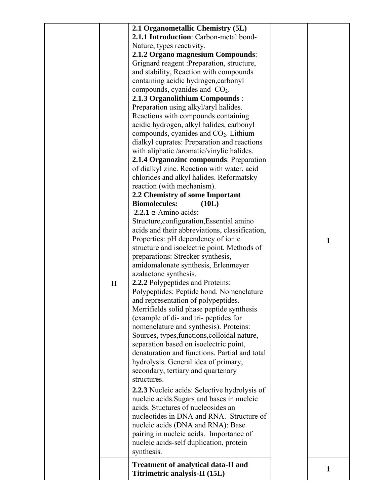| $\mathbf{1}$<br>structure and isoelectric point. Methods of<br>preparations: Strecker synthesis,<br>amidomalonate synthesis, Erlenmeyer<br>azalactone synthesis.<br>2.2.2 Polypeptides and Proteins:<br>$\mathbf{I}$<br>Polypeptides: Peptide bond. Nomenclature<br>and representation of polypeptides.<br>Merrifields solid phase peptide synthesis<br>(example of di- and tri- peptides for<br>nomenclature and synthesis). Proteins:<br>Sources, types, functions, colloidal nature,<br>separation based on isoelectric point,<br>denaturation and functions. Partial and total<br>hydrolysis. General idea of primary,<br>secondary, tertiary and quartenary<br>structures.<br><b>2.2.3</b> Nucleic acids: Selective hydrolysis of<br>nucleic acids. Sugars and bases in nucleic<br>acids. Stuctures of nucleosides an<br>nucleotides in DNA and RNA. Structure of<br>nucleic acids (DNA and RNA): Base<br>pairing in nucleic acids. Importance of<br>nucleic acids-self duplication, protein<br>synthesis.<br><b>Treatment of analytical data-II and</b> |  | 2.1 Organometallic Chemistry (5L)<br>2.1.1 Introduction: Carbon-metal bond-<br>Nature, types reactivity.<br>2.1.2 Organo magnesium Compounds:<br>Grignard reagent : Preparation, structure,<br>and stability, Reaction with compounds<br>containing acidic hydrogen, carbonyl<br>compounds, cyanides and $CO2$ .<br>2.1.3 Organolithium Compounds:<br>Preparation using alkyl/aryl halides.<br>Reactions with compounds containing<br>acidic hydrogen, alkyl halides, carbonyl<br>compounds, cyanides and $CO2$ . Lithium<br>dialkyl cuprates: Preparation and reactions<br>with aliphatic /aromatic/vinylic halides.<br>2.1.4 Organozinc compounds: Preparation<br>of dialkyl zinc. Reaction with water, acid<br>chlorides and alkyl halides. Reformatsky<br>reaction (with mechanism).<br>2.2 Chemistry of some Important<br><b>Biomolecules:</b><br>(10L)<br>$2.2.1 \alpha$ -Amino acids:<br>Structure, configuration, Essential amino<br>acids and their abbreviations, classification, |   |
|---------------------------------------------------------------------------------------------------------------------------------------------------------------------------------------------------------------------------------------------------------------------------------------------------------------------------------------------------------------------------------------------------------------------------------------------------------------------------------------------------------------------------------------------------------------------------------------------------------------------------------------------------------------------------------------------------------------------------------------------------------------------------------------------------------------------------------------------------------------------------------------------------------------------------------------------------------------------------------------------------------------------------------------------------------------|--|---------------------------------------------------------------------------------------------------------------------------------------------------------------------------------------------------------------------------------------------------------------------------------------------------------------------------------------------------------------------------------------------------------------------------------------------------------------------------------------------------------------------------------------------------------------------------------------------------------------------------------------------------------------------------------------------------------------------------------------------------------------------------------------------------------------------------------------------------------------------------------------------------------------------------------------------------------------------------------------------|---|
| Titrimetric analysis-II (15L)                                                                                                                                                                                                                                                                                                                                                                                                                                                                                                                                                                                                                                                                                                                                                                                                                                                                                                                                                                                                                                 |  | Properties: pH dependency of ionic                                                                                                                                                                                                                                                                                                                                                                                                                                                                                                                                                                                                                                                                                                                                                                                                                                                                                                                                                          | 1 |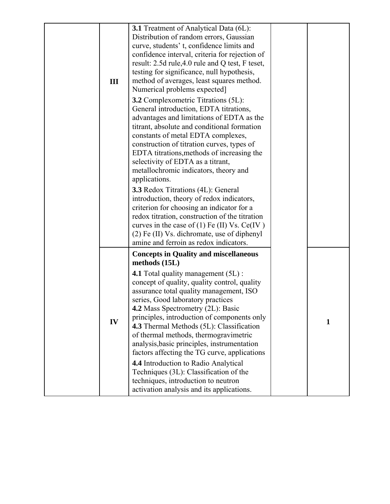|     | 3.1 Treatment of Analytical Data (6L):                                                  |              |
|-----|-----------------------------------------------------------------------------------------|--------------|
|     | Distribution of random errors, Gaussian                                                 |              |
|     | curve, students' t, confidence limits and                                               |              |
|     | confidence interval, criteria for rejection of                                          |              |
|     | result: 2.5d rule, 4.0 rule and Q test, F teset,                                        |              |
|     | testing for significance, null hypothesis,                                              |              |
| III | method of averages, least squares method.                                               |              |
|     | Numerical problems expected]                                                            |              |
|     | <b>3.2</b> Complexometric Titrations (5L):                                              |              |
|     | General introduction, EDTA titrations,                                                  |              |
|     | advantages and limitations of EDTA as the                                               |              |
|     | titrant, absolute and conditional formation                                             |              |
|     | constants of metal EDTA complexes,                                                      |              |
|     | construction of titration curves, types of                                              |              |
|     | EDTA titrations, methods of increasing the                                              |              |
|     | selectivity of EDTA as a titrant,                                                       |              |
|     | metallochromic indicators, theory and                                                   |              |
|     | applications.                                                                           |              |
|     | 3.3 Redox Titrations (4L): General                                                      |              |
|     | introduction, theory of redox indicators,                                               |              |
|     | criterion for choosing an indicator for a                                               |              |
|     | redox titration, construction of the titration                                          |              |
|     | curves in the case of $(1)$ Fe $(II)$ Vs. Ce $(IV)$                                     |              |
|     | (2) Fe (II) Vs. dichromate, use of diphenyl<br>amine and ferroin as redox indicators.   |              |
|     |                                                                                         |              |
|     | <b>Concepts in Quality and miscellaneous</b><br>methods $(15L)$                         |              |
|     |                                                                                         |              |
|     | 4.1 Total quality management (5L):                                                      |              |
|     | concept of quality, quality control, quality<br>assurance total quality management, ISO |              |
|     | series, Good laboratory practices                                                       |              |
|     | 4.2 Mass Spectrometry (2L): Basic                                                       |              |
|     | principles, introduction of components only                                             |              |
| IV  | 4.3 Thermal Methods (5L): Classification                                                | $\mathbf{1}$ |
|     | of thermal methods, thermogravimetric                                                   |              |
|     | analysis, basic principles, instrumentation                                             |              |
|     | factors affecting the TG curve, applications                                            |              |
|     | 4.4 Introduction to Radio Analytical                                                    |              |
|     | Techniques (3L): Classification of the                                                  |              |
|     | techniques, introduction to neutron                                                     |              |
|     | activation analysis and its applications.                                               |              |